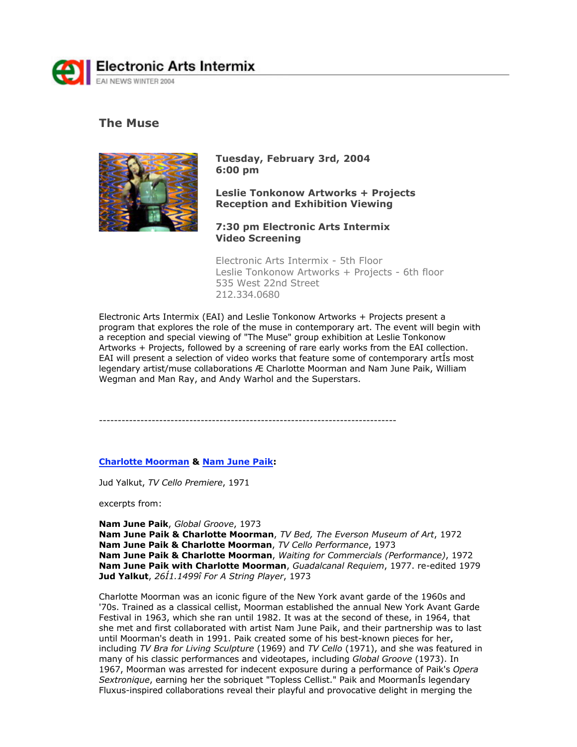

# **The Muse**



**Tuesday, February 3rd, 2004 6:00 pm**

**Leslie Tonkonow Artworks + Projects Reception and Exhibition Viewing**

**7:30 pm Electronic Arts Intermix Video Screening** 

Electronic Arts Intermix - 5th Floor Leslie Tonkonow Artworks + Projects - 6th floor 535 West 22nd Street 212.334.0680

Electronic Arts Intermix (EAI) and Leslie Tonkonow Artworks + Projects present a program that explores the role of the muse in contemporary art. The event will begin with a reception and special viewing of "The Muse" group exhibition at Leslie Tonkonow Artworks + Projects, followed by a screening of rare early works from the EAI collection. EAI will present a selection of video works that feature some of contemporary artÍs most legendary artist/muse collaborations Æ Charlotte Moorman and Nam June Paik, William Wegman and Man Ray, and Andy Warhol and the Superstars.

-------------------------------------------------------------------------------

## **Charlotte Moorman & Nam June Paik:**

Jud Yalkut, *TV Cello Premiere*, 1971

excerpts from:

**Nam June Paik**, *Global Groove*, 1973

**Nam June Paik & Charlotte Moorman**, *TV Bed, The Everson Museum of Art*, 1972 **Nam June Paik & Charlotte Moorman**, *TV Cello Performance*, 1973 **Nam June Paik & Charlotte Moorman**, *Waiting for Commercials (Performance)*, 1972 **Nam June Paik with Charlotte Moorman**, *Guadalcanal Requiem*, 1977. re-edited 1979 **Jud Yalkut**, *26Í1.1499î For A String Player*, 1973

Charlotte Moorman was an iconic figure of the New York avant garde of the 1960s and '70s. Trained as a classical cellist, Moorman established the annual New York Avant Garde Festival in 1963, which she ran until 1982. It was at the second of these, in 1964, that she met and first collaborated with artist Nam June Paik, and their partnership was to last until Moorman's death in 1991. Paik created some of his best-known pieces for her, including *TV Bra for Living Sculpture* (1969) and *TV Cello* (1971), and she was featured in many of his classic performances and videotapes, including *Global Groove* (1973). In 1967, Moorman was arrested for indecent exposure during a performance of Paik's *Opera Sextronique*, earning her the sobriquet "Topless Cellist." Paik and MoormanÍs legendary Fluxus-inspired collaborations reveal their playful and provocative delight in merging the